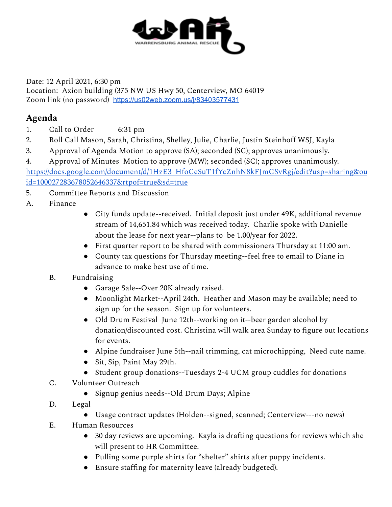

Date: 12 April 2021, 6:30 pm Location: Axion building (375 NW US Hwy 50, Centerview, MO 64019 Zoom link (no password) <https://us02web.zoom.us/j/83403577431>

## **Agenda**

- 1. Call to Order 6:31 pm
- 2. Roll Call Mason, Sarah, Christina, Shelley, Julie, Charlie, Justin Steinhoff WSJ, Kayla
- 3. Approval of Agenda Motion to approve (SA); seconded (SC); approves unanimously.

4. Approval of Minutes Motion to approve (MW); seconded (SC); approves unanimously. [https://docs.google.com/document/d/1HzE3\\_HfoCeSuT1fYcZnhN8kFJmCSvRgj/edit?usp=sharing&ou](https://docs.google.com/document/d/1HzE3_HfoCeSuT1fYcZnhN8kFJmCSvRgj/edit?usp=sharing&ouid=100027283678052646337&rtpof=true&sd=true) [id=100027283678052646337&rtpof=true&sd=true](https://docs.google.com/document/d/1HzE3_HfoCeSuT1fYcZnhN8kFJmCSvRgj/edit?usp=sharing&ouid=100027283678052646337&rtpof=true&sd=true)

- 5. Committee Reports and Discussion
- A. Finance
- City funds update--received. Initial deposit just under 49K, additional revenue stream of 14,651.84 which was received today. Charlie spoke with Danielle about the lease for next year--plans to be 1.00/year for 2022.
- First quarter report to be shared with commissioners Thursday at 11:00 am.
- County tax questions for Thursday meeting--feel free to email to Diane in advance to make best use of time.
- B. Fundraising
	- Garage Sale--Over 20K already raised.
	- Moonlight Market--April 24th. Heather and Mason may be available; need to sign up for the season. Sign up for volunteers.
	- Old Drum Festival June 12th--working on it--beer garden alcohol by donation/discounted cost. Christina will walk area Sunday to figure out locations for events.
	- Alpine fundraiser June 5th--nail trimming, cat microchipping, Need cute name.
	- Sit, Sip, Paint May 29th.
	- Student group donations--Tuesdays 2-4 UCM group cuddles for donations
- C. Volunteer Outreach
	- Signup genius needs--Old Drum Days; Alpine
- D. Legal
	- Usage contract updates (Holden--signed, scanned; Centerview---no news)
- E. Human Resources
	- 30 day reviews are upcoming. Kayla is drafting questions for reviews which she will present to HR Committee.
	- Pulling some purple shirts for "shelter" shirts after puppy incidents.
	- Ensure staffing for maternity leave (already budgeted).